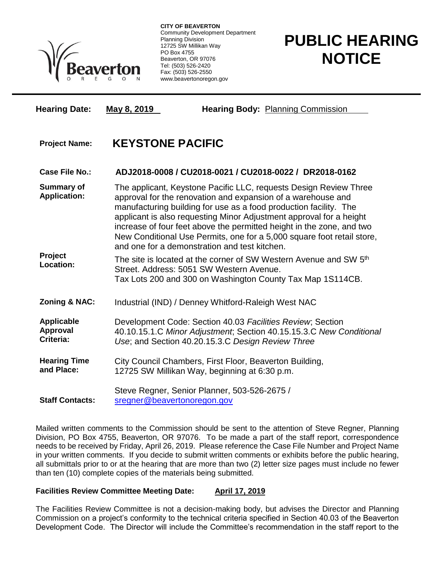

**CITY OF BEAVERTON** Community Development Department Planning Division 12725 SW Millikan Way PO Box 4755 Beaverton, OR 97076 Tel: (503) 526-2420 Fax: (503) 526-2550 www.beavertonoregon.gov

## **PUBLIC HEARING NOTICE**

| <b>Hearing Date:</b>                                             | May 8, 2019                                                                                                                                                                                                                                                                                                                                                                                                                                                                       | <b>Hearing Body: Planning Commission</b>                                                                                                                                                |
|------------------------------------------------------------------|-----------------------------------------------------------------------------------------------------------------------------------------------------------------------------------------------------------------------------------------------------------------------------------------------------------------------------------------------------------------------------------------------------------------------------------------------------------------------------------|-----------------------------------------------------------------------------------------------------------------------------------------------------------------------------------------|
| <b>Project Name:</b>                                             | <b>KEYSTONE PACIFIC</b>                                                                                                                                                                                                                                                                                                                                                                                                                                                           |                                                                                                                                                                                         |
| <b>Case File No.:</b>                                            | ADJ2018-0008 / CU2018-0021 / CU2018-0022 / DR2018-0162                                                                                                                                                                                                                                                                                                                                                                                                                            |                                                                                                                                                                                         |
| <b>Summary of</b><br><b>Application:</b><br>Project<br>Location: | The applicant, Keystone Pacific LLC, requests Design Review Three<br>approval for the renovation and expansion of a warehouse and<br>manufacturing building for use as a food production facility. The<br>applicant is also requesting Minor Adjustment approval for a height<br>increase of four feet above the permitted height in the zone, and two<br>New Conditional Use Permits, one for a 5,000 square foot retail store,<br>and one for a demonstration and test kitchen. |                                                                                                                                                                                         |
|                                                                  |                                                                                                                                                                                                                                                                                                                                                                                                                                                                                   | The site is located at the corner of SW Western Avenue and SW 5 <sup>th</sup><br>Street, Address: 5051 SW Western Avenue.<br>Tax Lots 200 and 300 on Washington County Tax Map 1S114CB. |
| Zoning & NAC:                                                    | Industrial (IND) / Denney Whitford-Raleigh West NAC                                                                                                                                                                                                                                                                                                                                                                                                                               |                                                                                                                                                                                         |
| <b>Applicable</b><br><b>Approval</b><br>Criteria:                | Development Code: Section 40.03 Facilities Review; Section<br>40.10.15.1.C Minor Adjustment; Section 40.15.15.3.C New Conditional<br>Use; and Section 40.20.15.3.C Design Review Three                                                                                                                                                                                                                                                                                            |                                                                                                                                                                                         |
| <b>Hearing Time</b><br>and Place:                                | City Council Chambers, First Floor, Beaverton Building,<br>12725 SW Millikan Way, beginning at 6:30 p.m.                                                                                                                                                                                                                                                                                                                                                                          |                                                                                                                                                                                         |
| <b>Staff Contacts:</b>                                           | Steve Regner, Senior Planner, 503-526-2675 /<br>sregner@beavertonoregon.gov                                                                                                                                                                                                                                                                                                                                                                                                       |                                                                                                                                                                                         |

Mailed written comments to the Commission should be sent to the attention of Steve Regner, Planning Division, PO Box 4755, Beaverton, OR 97076. To be made a part of the staff report, correspondence needs to be received by Friday, April 26, 2019. Please reference the Case File Number and Project Name in your written comments. If you decide to submit written comments or exhibits before the public hearing, all submittals prior to or at the hearing that are more than two (2) letter size pages must include no fewer than ten (10) complete copies of the materials being submitted.

## **Facilities Review Committee Meeting Date: April 17, 2019**

The Facilities Review Committee is not a decision-making body, but advises the Director and Planning Commission on a project's conformity to the technical criteria specified in Section 40.03 of the Beaverton Development Code. The Director will include the Committee's recommendation in the staff report to the